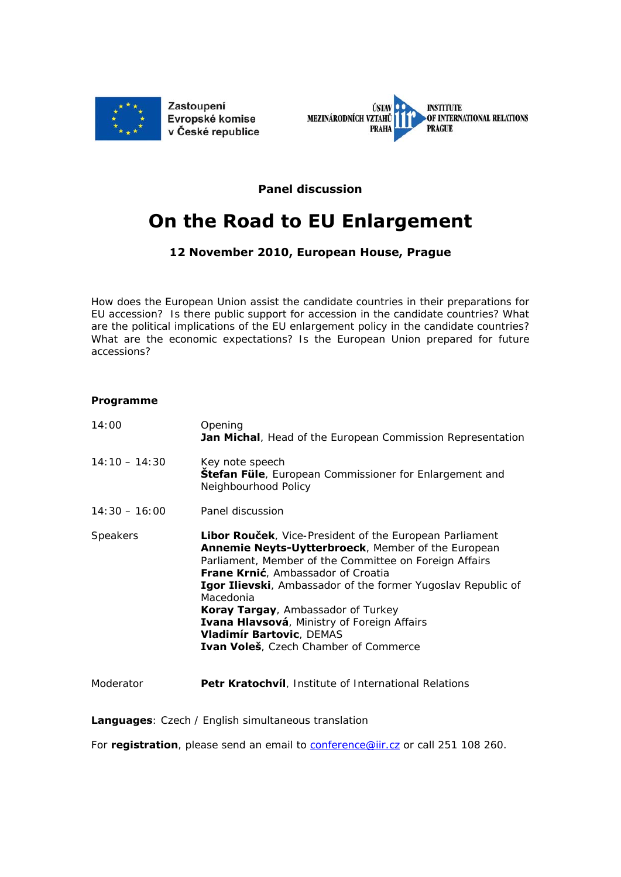



**Panel discussion** 

## **On the Road to EU Enlargement**

## **12 November 2010, European House, Prague**

*How does the European Union assist the candidate countries in their preparations for EU accession? Is there public support for accession in the candidate countries? What are the political implications of the EU enlargement policy in the candidate countries? What are the economic expectations? Is the European Union prepared for future accessions?* 

## **Programme**

| 14:00           | Opening<br><b>Jan Michal</b> , Head of the European Commission Representation                                                                                                                                                                                                                                                                                                                                                                                               |
|-----------------|-----------------------------------------------------------------------------------------------------------------------------------------------------------------------------------------------------------------------------------------------------------------------------------------------------------------------------------------------------------------------------------------------------------------------------------------------------------------------------|
| $14:10 - 14:30$ | Key note speech<br><b>Stefan Füle</b> , European Commissioner for Enlargement and<br>Neighbourhood Policy                                                                                                                                                                                                                                                                                                                                                                   |
| $14:30 - 16:00$ | Panel discussion                                                                                                                                                                                                                                                                                                                                                                                                                                                            |
| <b>Speakers</b> | Libor Rouček, Vice-President of the European Parliament<br>Annemie Neyts-Uytterbroeck, Member of the European<br>Parliament, Member of the Committee on Foreign Affairs<br><b>Frane Krnić</b> , Ambassador of Croatia<br><b>Igor Ilievski</b> , Ambassador of the former Yugoslav Republic of<br>Macedonia<br>Koray Targay, Ambassador of Turkey<br>Ivana Hlavsová, Ministry of Foreign Affairs<br><b>Vladimír Bartovic, DEMAS</b><br>Ivan Voleš, Czech Chamber of Commerce |
| Moderator       | <b>Petr Kratochvíl</b> , Institute of International Relations                                                                                                                                                                                                                                                                                                                                                                                                               |

**Languages**: Czech / English simultaneous translation

For **registration**, please send an email to **conference@iir.cz** or call 251 108 260.